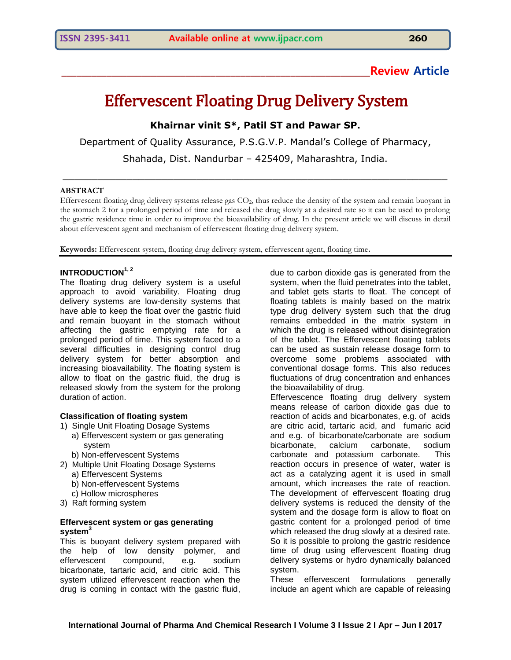# **\_\_\_\_\_\_\_\_\_\_\_\_\_\_\_\_\_\_\_\_\_\_\_\_\_\_\_\_\_\_\_\_\_\_\_\_\_\_\_\_\_\_\_\_\_\_\_\_\_\_\_\_\_\_\_\_\_\_\_\_\_\_Review Article**

# Effervescent Floating Drug Delivery System

**Khairnar vinit S\*, Patil ST and Pawar SP.**

Department of Quality Assurance, P.S.G.V.P. Mandal's College of Pharmacy,

Shahada, Dist. Nandurbar – 425409, Maharashtra, India.

\_\_\_\_\_\_\_\_\_\_\_\_\_\_\_\_\_\_\_\_\_\_\_\_\_\_\_\_\_\_\_\_\_\_\_\_\_\_\_\_\_\_\_\_\_\_\_\_\_\_\_\_\_\_\_\_\_\_\_\_\_\_\_\_\_\_

#### **ABSTRACT**

Effervescent floating drug delivery systems release gas CO<sub>2</sub>, thus reduce the density of the system and remain buoyant in the stomach 2 for a prolonged period of time and released the drug slowly at a desired rate so it can be used to prolong the gastric residence time in order to improve the bioavailability of drug. In the present article we will discuss in detail about effervescent agent and mechanism of effervescent floating drug delivery system.

**Keywords:** Effervescent system, floating drug delivery system, effervescent agent, floating time.

# **INTRODUCTION1, <sup>2</sup>**

The floating drug delivery system is a useful approach to avoid variability. Floating drug delivery systems are low-density systems that have able to keep the float over the gastric fluid and remain buoyant in the stomach without affecting the gastric emptying rate for a prolonged period of time. This system faced to a several difficulties in designing control drug delivery system for better absorption and increasing bioavailability. The floating system is allow to float on the gastric fluid, the drug is released slowly from the system for the prolong duration of action.

#### **Classification of floating system**

- 1) Single Unit Floating Dosage Systems a) Effervescent system or gas generating system
	- b) Non‐effervescent Systems
- 2) Multiple Unit Floating Dosage Systems
	- a) Effervescent Systems
		- b) Non‐effervescent Systems
- c) Hollow microspheres
- 3) Raft forming system

## **Effervescent system or gas generating system<sup>3</sup>**

This is buoyant delivery system prepared with the help of low density polymer, and effervescent compound, e.g. sodium bicarbonate, tartaric acid, and citric acid. This system utilized effervescent reaction when the drug is coming in contact with the gastric fluid, due to carbon dioxide gas is generated from the system, when the fluid penetrates into the tablet, and tablet gets starts to float. The concept of floating tablets is mainly based on the matrix type drug delivery system such that the drug remains embedded in the matrix system in which the drug is released without disintegration of the tablet. The Effervescent floating tablets can be used as sustain release dosage form to overcome some problems associated with conventional dosage forms. This also reduces fluctuations of drug concentration and enhances the bioavailability of drug.

Effervescence floating drug delivery system means release of carbon dioxide gas due to reaction of acids and bicarbonates, e.g. of acids are citric acid, tartaric acid, and fumaric acid and e.g. of bicarbonate/carbonate are sodium bicarbonate, calcium carbonate, sodium carbonate and potassium carbonate. This reaction occurs in presence of water, water is act as a catalyzing agent it is used in small amount, which increases the rate of reaction. The development of effervescent floating drug delivery systems is reduced the density of the system and the dosage form is allow to float on gastric content for a prolonged period of time which released the drug slowly at a desired rate. So it is possible to prolong the gastric residence time of drug using effervescent floating drug delivery systems or hydro dynamically balanced system.

These effervescent formulations generally include an agent which are capable of releasing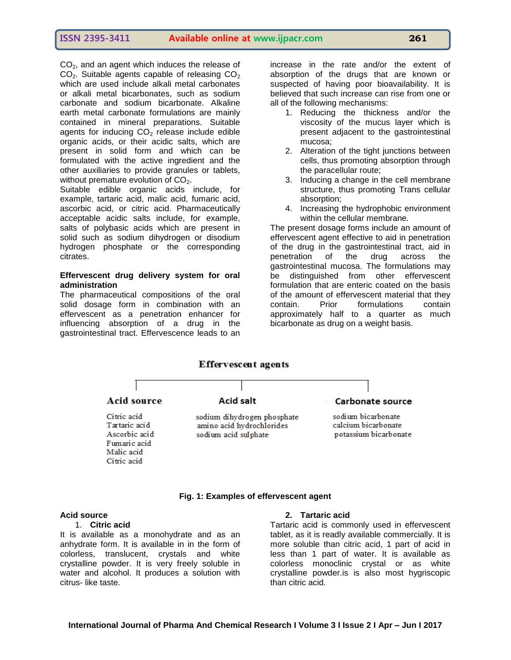CO<sub>2</sub>, and an agent which induces the release of  $CO<sub>2</sub>$ . Suitable agents capable of releasing  $CO<sub>2</sub>$ which are used include alkali metal carbonates or alkali metal bicarbonates, such as sodium carbonate and sodium bicarbonate. Alkaline earth metal carbonate formulations are mainly contained in mineral preparations. Suitable agents for inducing  $CO<sub>2</sub>$  release include edible organic acids, or their acidic salts, which are present in solid form and which can be formulated with the active ingredient and the other auxiliaries to provide granules or tablets, without premature evolution of  $CO<sub>2</sub>$ .

Suitable edible organic acids include, for example, tartaric acid, malic acid, fumaric acid, ascorbic acid, or citric acid. Pharmaceutically acceptable acidic salts include, for example, salts of polybasic acids which are present in solid such as sodium dihydrogen or disodium hydrogen phosphate or the corresponding citrates.

#### **Effervescent drug delivery system for oral administration**

The pharmaceutical compositions of the oral solid dosage form in combination with an effervescent as a penetration enhancer for influencing absorption of a drug in the gastrointestinal tract. Effervescence leads to an

increase in the rate and/or the extent of absorption of the drugs that are known or suspected of having poor bioavailability. It is believed that such increase can rise from one or all of the following mechanisms:

- 1. Reducing the thickness and/or the viscosity of the mucus layer which is present adjacent to the gastrointestinal mucosa;
- 2. Alteration of the tight junctions between cells, thus promoting absorption through the paracellular route;
- 3. Inducing a change in the cell membrane structure, thus promoting Trans cellular absorption;
- 4. Increasing the hydrophobic environment within the cellular membrane.

The present dosage forms include an amount of effervescent agent effective to aid in penetration of the drug in the gastrointestinal tract, aid in<br>penetration of the drug across the penetration of the drug across the gastrointestinal mucosa. The formulations may be distinguished from other effervescent formulation that are enteric coated on the basis of the amount of effervescent material that they contain. Prior formulations contain approximately half to a quarter as much bicarbonate as drug on a weight basis.



#### **Fig. 1: Examples of effervescent agent**

## **Acid source**

#### 1. **Citric acid**

It is available as a monohydrate and as an anhydrate form. It is available in in the form of colorless, translucent, crystals and white crystalline powder. It is very freely soluble in water and alcohol. It produces a solution with citrus- like taste.

# **2. Tartaric acid**

Tartaric acid is commonly used in effervescent tablet, as it is readly available commercially. It is more soluble than citric acid, 1 part of acid in less than 1 part of water. It is available as colorless monoclinic crystal or as white crystalline powder.is is also most hygriscopic than citric acid.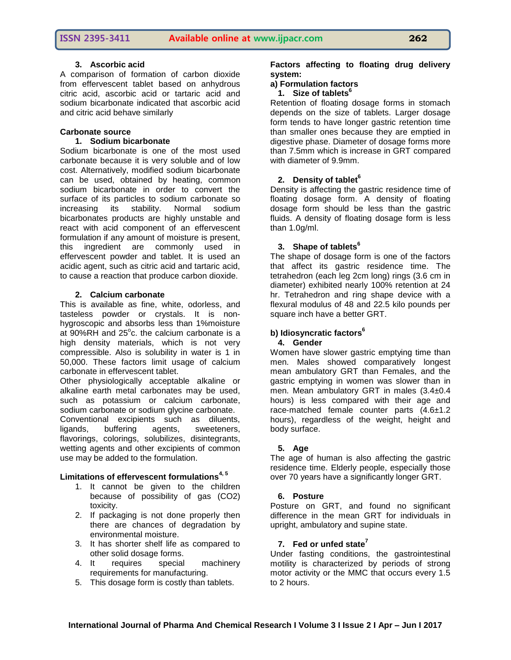# **3. Ascorbic acid**

A comparison of formation of carbon dioxide from effervescent tablet based on anhydrous citric acid, ascorbic acid or tartaric acid and sodium bicarbonate indicated that ascorbic acid and citric acid behave similarly

# **Carbonate source**

# **1. Sodium bicarbonate**

Sodium bicarbonate is one of the most used carbonate because it is very soluble and of low cost. Alternatively, modified sodium bicarbonate can be used, obtained by heating, common sodium bicarbonate in order to convert the surface of its particles to sodium carbonate so increasing its stability. Normal sodium bicarbonates products are highly unstable and react with acid component of an effervescent formulation if any amount of moisture is present, this ingredient are commonly used in effervescent powder and tablet. It is used an acidic agent, such as citric acid and tartaric acid, to cause a reaction that produce carbon dioxide.

# **2. Calcium carbonate**

This is available as fine, white, odorless, and tasteless powder or crystals. It is nonhygroscopic and absorbs less than 1%moisture at  $90\%$ RH and  $25^{\circ}$ c. the calcium carbonate is a high density materials, which is not very compressible. Also is solubility in water is 1 in 50,000. These factors limit usage of calcium carbonate in effervescent tablet.

Other physiologically acceptable alkaline or alkaline earth metal carbonates may be used, such as potassium or calcium carbonate, sodium carbonate or sodium glycine carbonate. Conventional excipients such as diluents, ligands, buffering agents, sweeteners, flavorings, colorings, solubilizes, disintegrants, wetting agents and other excipients of common use may be added to the formulation.

# **Limitations of effervescent formulations4, 5**

- 1. It cannot be given to the children because of possibility of gas (CO2) toxicity.
- 2. If packaging is not done properly then there are chances of degradation by environmental moisture.
- 3. It has shorter shelf life as compared to other solid dosage forms.
- 4. It requires special machinery requirements for manufacturing.
- 5. This dosage form is costly than tablets.

# **Factors affecting to floating drug delivery system:**

# **a) Formulation factors**

# **1. Size of tablets<sup>6</sup>**

Retention of floating dosage forms in stomach depends on the size of tablets. Larger dosage form tends to have longer gastric retention time than smaller ones because they are emptied in digestive phase. Diameter of dosage forms more than 7.5mm which is increase in GRT compared with diameter of 9.9mm.

# **2. Density of tablet<sup>6</sup>**

Density is affecting the gastric residence time of floating dosage form. A density of floating dosage form should be less than the gastric fluids. A density of floating dosage form is less than 1.0g/ml.

# **3. Shape of tablets<sup>6</sup>**

The shape of dosage form is one of the factors that affect its gastric residence time. The tetrahedron (each leg 2cm long) rings (3.6 cm in diameter) exhibited nearly 100% retention at 24 hr. Tetrahedron and ring shape device with a flexural modulus of 48 and 22.5 kilo pounds per square inch have a better GRT.

#### **b) Idiosyncratic factors<sup>6</sup> 4. Gender**

# Women have slower gastric emptying time than men. Males showed comparatively longest mean ambulatory GRT than Females, and the gastric emptying in women was slower than in men. Mean ambulatory GRT in males (3.4±0.4 hours) is less compared with their age and race-matched female counter parts (4.6±1.2) hours), regardless of the weight, height and body surface.

# **5. Age**

The age of human is also affecting the gastric residence time. Elderly people, especially those over 70 years have a significantly longer GRT.

# **6. Posture**

Posture on GRT, and found no significant difference in the mean GRT for individuals in upright, ambulatory and supine state.

# **7. Fed or unfed state<sup>7</sup>**

Under fasting conditions, the gastrointestinal motility is characterized by periods of strong motor activity or the MMC that occurs every 1.5 to 2 hours.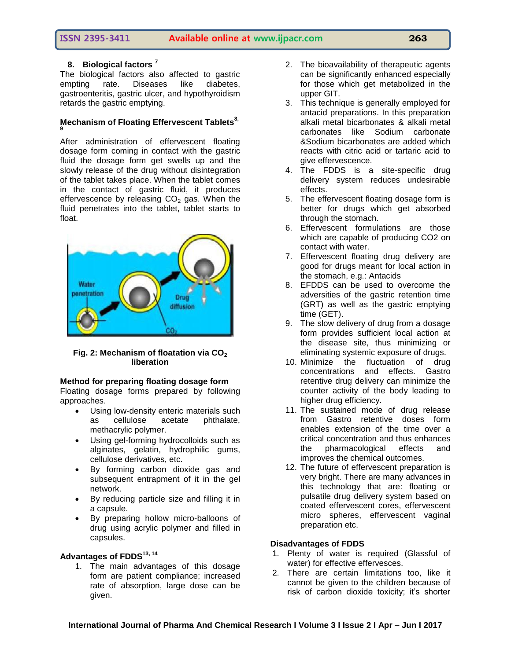# **ISSN 2395-3411 Available online at www.ijpacr.com 263**

# **8. Biological factors <sup>7</sup>**

The biological factors also affected to gastric empting rate. Diseases like diabetes, gastroenteritis, gastric ulcer, and hypothyroidism retards the gastric emptying.

#### **Mechanism of Floating Effervescent Tablets8, 9**

After administration of effervescent floating dosage form coming in contact with the gastric fluid the dosage form get swells up and the slowly release of the drug without disintegration of the tablet takes place. When the tablet comes in the contact of gastric fluid, it produces effervescence by releasing  $CO<sub>2</sub>$  gas. When the fluid penetrates into the tablet, tablet starts to float.



**Fig. 2: Mechanism of floatation via CO<sup>2</sup> liberation**

# **Method for preparing floating dosage form**

Floating dosage forms prepared by following approaches.

- Using low-density enteric materials such as cellulose acetate phthalate, methacrylic polymer.
- Using gel-forming hydrocolloids such as alginates, gelatin, hydrophilic gums, cellulose derivatives, etc.
- By forming carbon dioxide gas and subsequent entrapment of it in the gel network.
- By reducing particle size and filling it in a capsule.
- By preparing hollow micro-balloons of drug using acrylic polymer and filled in capsules.

# **Advantages of FDDS13, 14**

1. The main advantages of this dosage form are patient compliance; increased rate of absorption, large dose can be given.

- 2. The bioavailability of therapeutic agents can be significantly enhanced especially for those which get metabolized in the upper GIT.
- 3. This technique is generally employed for antacid preparations. In this preparation alkali metal bicarbonates & alkali metal carbonates like Sodium carbonate &Sodium bicarbonates are added which reacts with citric acid or tartaric acid to give effervescence.
- 4. The FDDS is a site-specific drug delivery system reduces undesirable effects.
- 5. The effervescent floating dosage form is better for drugs which get absorbed through the stomach.
- 6. Effervescent formulations are those which are capable of producing CO2 on contact with water.
- 7. Effervescent floating drug delivery are good for drugs meant for local action in the stomach, e.g.: Antacids
- 8. EFDDS can be used to overcome the adversities of the gastric retention time (GRT) as well as the gastric emptying time (GET).
- 9. The slow delivery of drug from a dosage form provides sufficient local action at the disease site, thus minimizing or eliminating systemic exposure of drugs.
- 10. Minimize the fluctuation of drug concentrations and effects. Gastro retentive drug delivery can minimize the counter activity of the body leading to higher drug efficiency.
- 11. The sustained mode of drug release from Gastro retentive doses form enables extension of the time over a critical concentration and thus enhances the pharmacological effects and improves the chemical outcomes.
- 12. The future of effervescent preparation is very bright. There are many advances in this technology that are: floating or pulsatile drug delivery system based on coated effervescent cores, effervescent micro spheres, effervescent vaginal preparation etc.

# **Disadvantages of FDDS**

- 1. Plenty of water is required (Glassful of water) for effective effervesces.
- 2. There are certain limitations too, like it cannot be given to the children because of risk of carbon dioxide toxicity; it's shorter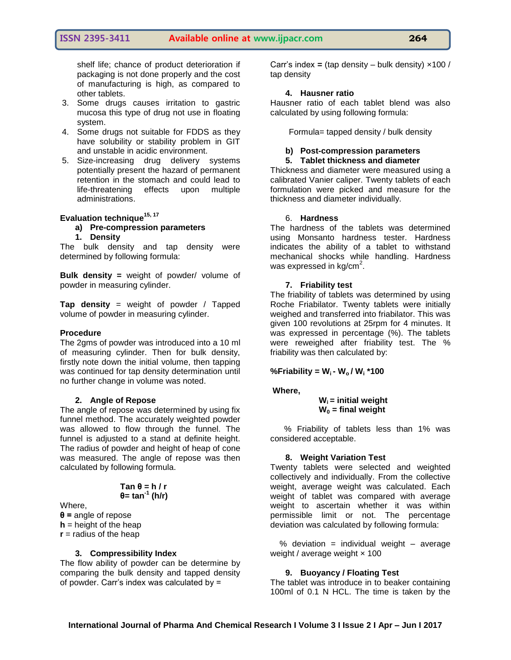# **ISSN 2395-3411 Available online at www.ijpacr.com 264**

shelf life; chance of product deterioration if packaging is not done properly and the cost of manufacturing is high, as compared to other tablets.

- 3. Some drugs causes irritation to gastric mucosa this type of drug not use in floating system.
- 4. Some drugs not suitable for FDDS as they have solubility or stability problem in GIT and unstable in acidic environment.
- 5. Size-increasing drug delivery systems potentially present the hazard of permanent retention in the stomach and could lead to life-threatening effects upon multiple administrations.

# **Evaluation technique15, 17**

# **a) Pre-compression parameters**

**1. Density**

The bulk density and tap density were determined by following formula:

**Bulk density =** weight of powder/ volume of powder in measuring cylinder.

**Tap density** = weight of powder / Tapped volume of powder in measuring cylinder.

#### **Procedure**

The 2gms of powder was introduced into a 10 ml of measuring cylinder. Then for bulk density, firstly note down the initial volume, then tapping was continued for tap density determination until no further change in volume was noted.

#### **2. Angle of Repose**

The angle of repose was determined by using fix funnel method. The accurately weighted powder was allowed to flow through the funnel. The funnel is adjusted to a stand at definite height. The radius of powder and height of heap of cone was measured. The angle of repose was then calculated by following formula.

$$
Tan θ = h / r
$$

$$
θ = tan-1 (h/r)
$$

Where,

**θ =** angle of repose **h** = height of the heap  **= radius of the heap** 

#### **3. Compressibility Index**

The flow ability of powder can be determine by comparing the bulk density and tapped density of powder. Carr's index was calculated by =

Carr's index **=** (tap density – bulk density) ×100 / tap density

#### **4. Hausner ratio**

Hausner ratio of each tablet blend was also calculated by using following formula:

Formula= tapped density / bulk density

# **b) Post-compression parameters**

#### **5. Tablet thickness and diameter**

Thickness and diameter were measured using a calibrated Vanier caliper. Twenty tablets of each formulation were picked and measure for the thickness and diameter individually.

#### 6. **Hardness**

The hardness of the tablets was determined using Monsanto hardness tester. Hardness indicates the ability of a tablet to withstand mechanical shocks while handling. Hardness was expressed in kg/cm $^2\!.$ 

#### **7. Friability test**

The friability of tablets was determined by using Roche Friabilator. Twenty tablets were initially weighed and transferred into friabilator. This was given 100 revolutions at 25rpm for 4 minutes. It was expressed in percentage (%). The tablets were reweighed after friability test. The % friability was then calculated by:

## **%Friability = Wi - Wo / W<sup>i</sup> \*100**

#### **Where,**

#### **W<sup>i</sup> = initial weight W<sup>0</sup> = final weight**

 % Friability of tablets less than 1% was considered acceptable.

#### **8. Weight Variation Test**

Twenty tablets were selected and weighted collectively and individually. From the collective weight, average weight was calculated. Each weight of tablet was compared with average weight to ascertain whether it was within permissible limit or not. The percentage deviation was calculated by following formula:

% deviation = individual weight  $-$  average weight / average weight  $\times$  100

#### **9. Buoyancy / Floating Test**

The tablet was introduce in to beaker containing 100ml of 0.1 N HCL. The time is taken by the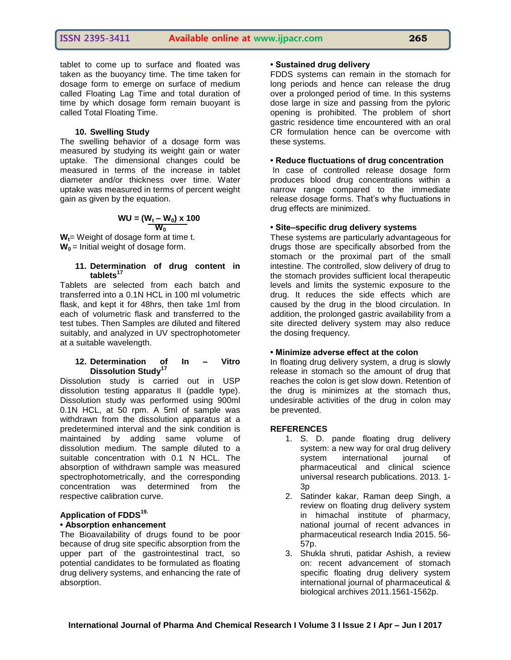tablet to come up to surface and floated was taken as the buoyancy time. The time taken for dosage form to emerge on surface of medium called Floating Lag Time and total duration of time by which dosage form remain buoyant is called Total Floating Time.

#### **10. Swelling Study**

The swelling behavior of a dosage form was measured by studying its weight gain or water uptake. The dimensional changes could be measured in terms of the increase in tablet diameter and/or thickness over time. Water uptake was measured in terms of percent weight gain as given by the equation.

$$
WU = (W_t - W_0) \times 100
$$

**Wt**= Weight of dosage form at time t. **W0** = Initial weight of dosage form.

#### **11. Determination of drug content in tablets<sup>17</sup>**

Tablets are selected from each batch and transferred into a 0.1N HCL in 100 ml volumetric flask, and kept it for 48hrs, then take 1ml from each of volumetric flask and transferred to the test tubes. Then Samples are diluted and filtered suitably, and analyzed in UV spectrophotometer at a suitable wavelength.

#### **12. Determination of In – Vitro Dissolution Study<sup>17</sup>**

Dissolution study is carried out in USP dissolution testing apparatus II (paddle type). Dissolution study was performed using 900ml 0.1N HCL, at 50 rpm. A 5ml of sample was withdrawn from the dissolution apparatus at a predetermined interval and the sink condition is maintained by adding same volume of dissolution medium. The sample diluted to a suitable concentration with 0.1 N HCL. The absorption of withdrawn sample was measured spectrophotometrically, and the corresponding concentration was determined from the respective calibration curve.

# **Application of FDDS19.**

# **• Absorption enhancement**

The Bioavailability of drugs found to be poor because of drug site specific absorption from the upper part of the gastrointestinal tract, so potential candidates to be formulated as floating drug delivery systems, and enhancing the rate of absorption.

#### **• Sustained drug delivery**

FDDS systems can remain in the stomach for long periods and hence can release the drug over a prolonged period of time. In this systems dose large in size and passing from the pyloric opening is prohibited. The problem of short gastric residence time encountered with an oral CR formulation hence can be overcome with these systems.

#### **• Reduce fluctuations of drug concentration**

In case of controlled release dosage form produces blood drug concentrations within a narrow range compared to the immediate release dosage forms. That's why fluctuations in drug effects are minimized.

#### **• Site–specific drug delivery systems**

These systems are particularly advantageous for drugs those are specifically absorbed from the stomach or the proximal part of the small intestine. The controlled, slow delivery of drug to the stomach provides sufficient local therapeutic levels and limits the systemic exposure to the drug. It reduces the side effects which are caused by the drug in the blood circulation. In addition, the prolonged gastric availability from a site directed delivery system may also reduce the dosing frequency.

## **• Minimize adverse effect at the colon**

In floating drug delivery system, a drug is slowly release in stomach so the amount of drug that reaches the colon is get slow down. Retention of the drug is minimizes at the stomach thus, undesirable activities of the drug in colon may be prevented.

#### **REFERENCES**

- 1. S. D. pande floating drug delivery system: a new way for oral drug delivery system international iournal of pharmaceutical and clinical science universal research publications. 2013. 1- 3p
- 2. Satinder kakar, Raman deep Singh, a review on floating drug delivery system in himachal institute of pharmacy, national journal of recent advances in pharmaceutical research India 2015. 56- 57p.
- 3. Shukla shruti, patidar Ashish, a review on: recent advancement of stomach specific floating drug delivery system international journal of pharmaceutical & biological archives 2011.1561-1562p.